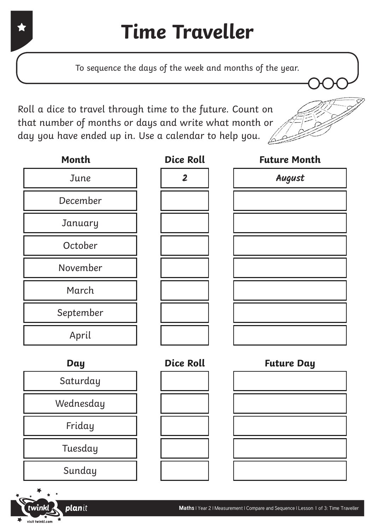To sequence the days of the week and months of the year.

Roll a dice to travel through time to the future. Count on that number of months or days and write what month or day you have ended up in. Use a calendar to help you.  $\angle$ 



| Month     |  |  |
|-----------|--|--|
| June      |  |  |
| December  |  |  |
| January   |  |  |
| October   |  |  |
| November  |  |  |
| March     |  |  |
| September |  |  |
| April     |  |  |

| <b>Dice Roll</b>        |
|-------------------------|
| $\overline{\mathbf{2}}$ |
|                         |
|                         |
|                         |
|                         |
|                         |
|                         |
|                         |

| ———     | LYY ISVIL      | v      |
|---------|----------------|--------|
| June    | $\overline{2}$ | August |
| cember  |                |        |
| inuary  |                |        |
| ctober  |                |        |
| vember  |                |        |
| 1arch   |                |        |
| otember |                |        |
| April   |                |        |
|         |                |        |

**Future Month**



planit



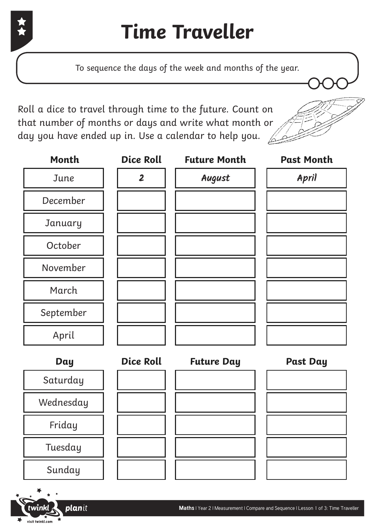

## **Time Traveller**

To sequence the days of the week and months of the year.

Roll a dice to travel through time to the future. Count on that number of months or days and write what month or day you have ended up in. Use a calendar to help you.  $\sqrt{2}$ 

planit



| Month     | <b>Dice Roll</b> | <b>Future Month</b> | <b>Past Month</b> |
|-----------|------------------|---------------------|-------------------|
| June      | $\overline{2}$   | August              | April             |
| December  |                  |                     |                   |
| January   |                  |                     |                   |
| October   |                  |                     |                   |
| November  |                  |                     |                   |
| March     |                  |                     |                   |
| September |                  |                     |                   |
| April     |                  |                     |                   |
| Day       | <b>Dice Roll</b> | <b>Future Day</b>   | <b>Past Day</b>   |
| Saturday  |                  |                     |                   |
| Wednesday |                  |                     |                   |
| Friday    |                  |                     |                   |
| Tuesday   |                  |                     |                   |
| Sunday    |                  |                     |                   |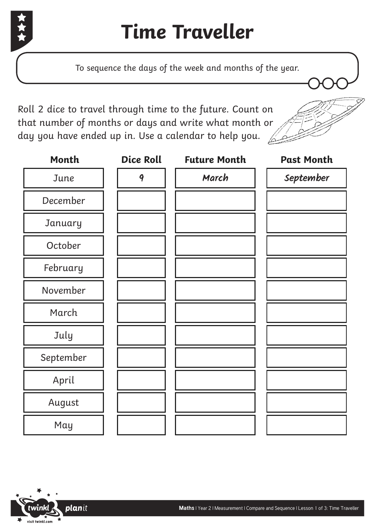

To sequence the days of the week and months of the year.

Roll 2 dice to travel through time to the future. Count on that number of months or days and write what month or day you have ended up in. Use a calendar to help you.  $\sqrt{2}$ 



| Month     | <b>Dice Roll</b> | <b>Future Month</b> | <b>Past Month</b> |
|-----------|------------------|---------------------|-------------------|
| June      | 9                | March               | September         |
| December  |                  |                     |                   |
| January   |                  |                     |                   |
| October   |                  |                     |                   |
| February  |                  |                     |                   |
| November  |                  |                     |                   |
| March     |                  |                     |                   |
| July      |                  |                     |                   |
| September |                  |                     |                   |
| April     |                  |                     |                   |
| August    |                  |                     |                   |
| May       |                  |                     |                   |